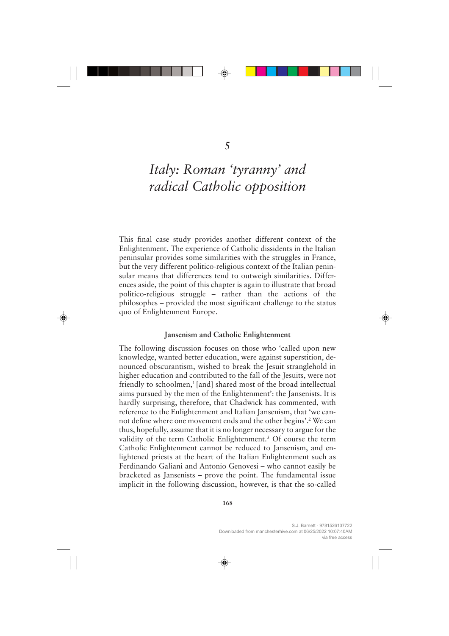This final case study provides another different context of the Enlightenment. The experience of Catholic dissidents in the Italian peninsular provides some similarities with the struggles in France, but the very different politico-religious context of the Italian peninsular means that differences tend to outweigh similarities. Differences aside, the point of this chapter is again to illustrate that broad politico-religious struggle – rather than the actions of the philosophes – provided the most significant challenge to the status quo of Enlightenment Europe.

#### **Jansenism and Catholic Enlightenment**

The following discussion focuses on those who 'called upon new knowledge, wanted better education, were against superstition, denounced obscurantism, wished to break the Jesuit stranglehold in higher education and contributed to the fall of the Jesuits, were not friendly to schoolmen,<sup>1</sup> [and] shared most of the broad intellectual aims pursued by the men of the Enlightenment': the Jansenists. It is hardly surprising, therefore, that Chadwick has commented, with reference to the Enlightenment and Italian Jansenism, that 'we cannot define where one movement ends and the other begins'.2 We can thus, hopefully, assume that it is no longer necessary to argue for the validity of the term Catholic Enlightenment.3 Of course the term Catholic Enlightenment cannot be reduced to Jansenism, and enlightened priests at the heart of the Italian Enlightenment such as Ferdinando Galiani and Antonio Genovesi – who cannot easily be bracketed as Jansenists – prove the point. The fundamental issue implicit in the following discussion, however, is that the so-called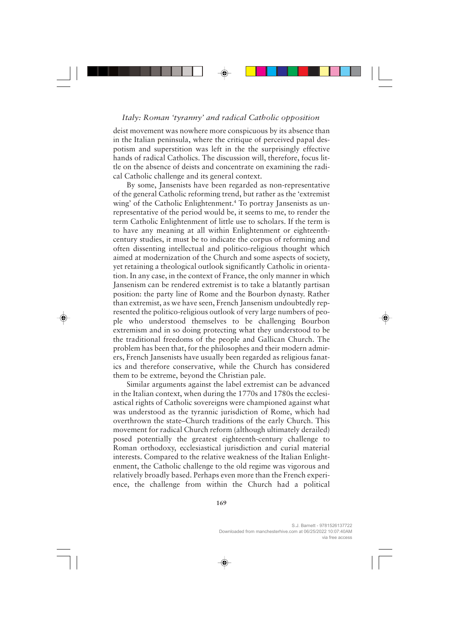deist movement was nowhere more conspicuous by its absence than in the Italian peninsula, where the critique of perceived papal despotism and superstition was left in the the surprisingly effective hands of radical Catholics. The discussion will, therefore, focus little on the absence of deists and concentrate on examining the radical Catholic challenge and its general context.

By some, Jansenists have been regarded as non-representative of the general Catholic reforming trend, but rather as the 'extremist wing' of the Catholic Enlightenment.<sup>4</sup> To portray Jansenists as unrepresentative of the period would be, it seems to me, to render the term Catholic Enlightenment of little use to scholars. If the term is to have any meaning at all within Enlightenment or eighteenthcentury studies, it must be to indicate the corpus of reforming and often dissenting intellectual and politico-religious thought which aimed at modernization of the Church and some aspects of society, yet retaining a theological outlook significantly Catholic in orientation. In any case, in the context of France, the only manner in which Jansenism can be rendered extremist is to take a blatantly partisan position: the party line of Rome and the Bourbon dynasty. Rather than extremist, as we have seen, French Jansenism undoubtedly represented the politico-religious outlook of very large numbers of people who understood themselves to be challenging Bourbon extremism and in so doing protecting what they understood to be the traditional freedoms of the people and Gallican Church. The problem has been that, for the philosophes and their modern admirers, French Jansenists have usually been regarded as religious fanatics and therefore conservative, while the Church has considered them to be extreme, beyond the Christian pale.

Similar arguments against the label extremist can be advanced in the Italian context, when during the 1770s and 1780s the ecclesiastical rights of Catholic sovereigns were championed against what was understood as the tyrannic jurisdiction of Rome, which had overthrown the state–Church traditions of the early Church. This movement for radical Church reform (although ultimately derailed) posed potentially the greatest eighteenth-century challenge to Roman orthodoxy, ecclesiastical jurisdiction and curial material interests. Compared to the relative weakness of the Italian Enlightenment, the Catholic challenge to the old regime was vigorous and relatively broadly based. Perhaps even more than the French experience, the challenge from within the Church had a political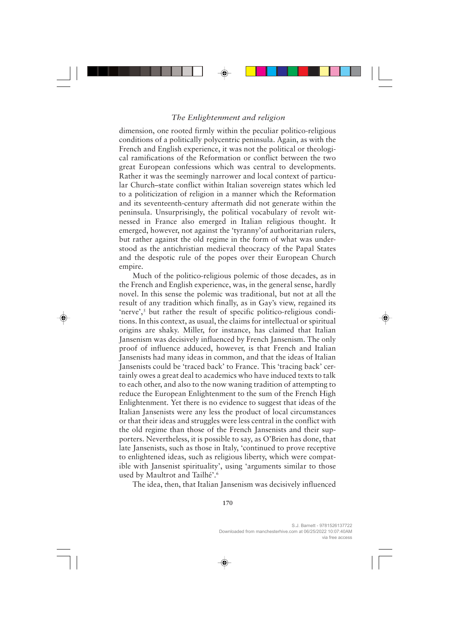dimension, one rooted firmly within the peculiar politico-religious conditions of a politically polycentric peninsula. Again, as with the French and English experience, it was not the political or theological ramifications of the Reformation or conflict between the two great European confessions which was central to developments. Rather it was the seemingly narrower and local context of particular Church–state conflict within Italian sovereign states which led to a politicization of religion in a manner which the Reformation and its seventeenth-century aftermath did not generate within the peninsula. Unsurprisingly, the political vocabulary of revolt witnessed in France also emerged in Italian religious thought. It emerged, however, not against the 'tyranny'of authoritarian rulers, but rather against the old regime in the form of what was understood as the antichristian medieval theocracy of the Papal States and the despotic rule of the popes over their European Church empire.

Much of the politico-religious polemic of those decades, as in the French and English experience, was, in the general sense, hardly novel. In this sense the polemic was traditional, but not at all the result of any tradition which finally, as in Gay's view, regained its 'nerve',<sup>5</sup> but rather the result of specific politico-religious conditions. In this context, as usual, the claims for intellectual or spiritual origins are shaky. Miller, for instance, has claimed that Italian Jansenism was decisively influenced by French Jansenism. The only proof of influence adduced, however, is that French and Italian Jansenists had many ideas in common, and that the ideas of Italian Jansenists could be 'traced back' to France. This 'tracing back' certainly owes a great deal to academics who have induced texts to talk to each other, and also to the now waning tradition of attempting to reduce the European Enlightenment to the sum of the French High Enlightenment. Yet there is no evidence to suggest that ideas of the Italian Jansenists were any less the product of local circumstances or that their ideas and struggles were less central in the conflict with the old regime than those of the French Jansenists and their supporters. Nevertheless, it is possible to say, as O'Brien has done, that late Jansenists, such as those in Italy, 'continued to prove receptive to enlightened ideas, such as religious liberty, which were compatible with Jansenist spirituality', using 'arguments similar to those used by Maultrot and Tailhé'.<sup>6</sup>

The idea, then, that Italian Jansenism was decisively influenced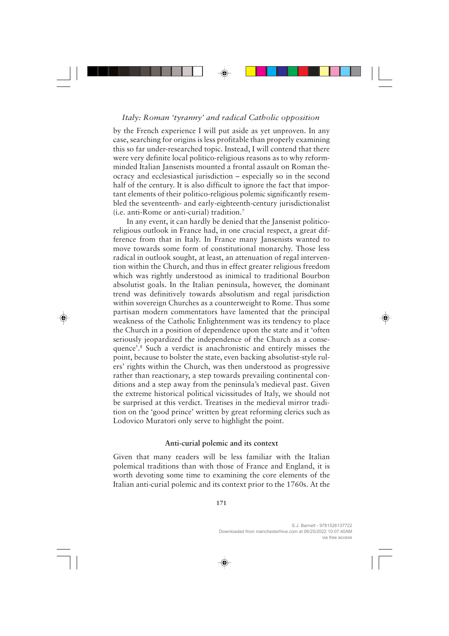by the French experience I will put aside as yet unproven. In any case, searching for origins is less profitable than properly examining this so far under-researched topic. Instead, I will contend that there were very definite local politico-religious reasons as to why reformminded Italian Jansenists mounted a frontal assault on Roman theocracy and ecclesiastical jurisdiction – especially so in the second half of the century. It is also difficult to ignore the fact that important elements of their politico-religious polemic significantly resembled the seventeenth- and early-eighteenth-century jurisdictionalist (i.e. anti-Rome or anti-curial) tradition.7

In any event, it can hardly be denied that the Jansenist politicoreligious outlook in France had, in one crucial respect, a great difference from that in Italy. In France many Jansenists wanted to move towards some form of constitutional monarchy. Those less radical in outlook sought, at least, an attenuation of regal intervention within the Church, and thus in effect greater religious freedom which was rightly understood as inimical to traditional Bourbon absolutist goals. In the Italian peninsula, however, the dominant trend was definitively towards absolutism and regal jurisdiction within sovereign Churches as a counterweight to Rome. Thus some partisan modern commentators have lamented that the principal weakness of the Catholic Enlightenment was its tendency to place the Church in a position of dependence upon the state and it 'often seriously jeopardized the independence of the Church as a consequence'.8 Such a verdict is anachronistic and entirely misses the point, because to bolster the state, even backing absolutist-style rulers' rights within the Church, was then understood as progressive rather than reactionary, a step towards prevailing continental conditions and a step away from the peninsula's medieval past. Given the extreme historical political vicissitudes of Italy, we should not be surprised at this verdict. Treatises in the medieval mirror tradition on the 'good prince' written by great reforming clerics such as Lodovico Muratori only serve to highlight the point.

# **Anti-curial polemic and its context**

Given that many readers will be less familiar with the Italian polemical traditions than with those of France and England, it is worth devoting some time to examining the core elements of the Italian anti-curial polemic and its context prior to the 1760s. At the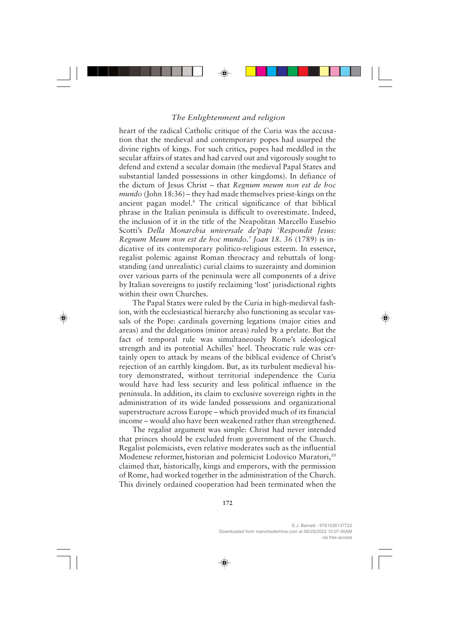heart of the radical Catholic critique of the Curia was the accusation that the medieval and contemporary popes had usurped the divine rights of kings. For such critics, popes had meddled in the secular affairs of states and had carved out and vigorously sought to defend and extend a secular domain (the medieval Papal States and substantial landed possessions in other kingdoms). In defiance of the dictum of Jesus Christ – that *Regnum meum non est de hoc mundo* (John 18:36) – they had made themselves priest-kings on the ancient pagan model.9 The critical significance of that biblical phrase in the Italian peninsula is difficult to overestimate. Indeed, the inclusion of it in the title of the Neapolitan Marcello Eusebio Scotti's *Della Monarchia universale de'papi 'Respondit Jesus: Regnum Meum non est de hoc mundo.' Joan 18. 36* (1789) is indicative of its contemporary politico-religious esteem. In essence, regalist polemic against Roman theocracy and rebuttals of longstanding (and unrealistic) curial claims to suzerainty and dominion over various parts of the peninsula were all components of a drive by Italian sovereigns to justify reclaiming 'lost' jurisdictional rights within their own Churches.

The Papal States were ruled by the Curia in high-medieval fashion, with the ecclesiastical hierarchy also functioning as secular vassals of the Pope: cardinals governing legations (major cities and areas) and the delegations (minor areas) ruled by a prelate. But the fact of temporal rule was simultaneously Rome's ideological strength and its potential Achilles' heel. Theocratic rule was certainly open to attack by means of the biblical evidence of Christ's rejection of an earthly kingdom. But, as its turbulent medieval history demonstrated, without territorial independence the Curia would have had less security and less political influence in the peninsula. In addition, its claim to exclusive sovereign rights in the administration of its wide landed possessions and organizational superstructure across Europe – which provided much of its financial income – would also have been weakened rather than strengthened.

The regalist argument was simple: Christ had never intended that princes should be excluded from government of the Church. Regalist polemicists, even relative moderates such as the influential Modenese reformer, historian and polemicist Lodovico Muratori,<sup>10</sup> claimed that, historically, kings and emperors, with the permission of Rome, had worked together in the administration of the Church. This divinely ordained cooperation had been terminated when the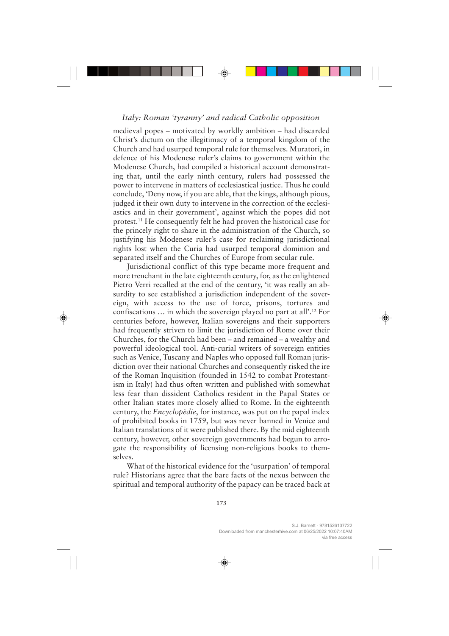medieval popes – motivated by worldly ambition – had discarded Christ's dictum on the illegitimacy of a temporal kingdom of the Church and had usurped temporal rule for themselves. Muratori, in defence of his Modenese ruler's claims to government within the Modenese Church, had compiled a historical account demonstrating that, until the early ninth century, rulers had possessed the power to intervene in matters of ecclesiastical justice. Thus he could conclude, 'Deny now, if you are able, that the kings, although pious, judged it their own duty to intervene in the correction of the ecclesiastics and in their government', against which the popes did not protest.11 He consequently felt he had proven the historical case for the princely right to share in the administration of the Church, so justifying his Modenese ruler's case for reclaiming jurisdictional rights lost when the Curia had usurped temporal dominion and separated itself and the Churches of Europe from secular rule.

Jurisdictional conflict of this type became more frequent and more trenchant in the late eighteenth century, for, as the enlightened Pietro Verri recalled at the end of the century, 'it was really an absurdity to see established a jurisdiction independent of the sovereign, with access to the use of force, prisons, tortures and confiscations … in which the sovereign played no part at all'.12 For centuries before, however, Italian sovereigns and their supporters had frequently striven to limit the jurisdiction of Rome over their Churches, for the Church had been – and remained – a wealthy and powerful ideological tool. Anti-curial writers of sovereign entities such as Venice, Tuscany and Naples who opposed full Roman jurisdiction over their national Churches and consequently risked the ire of the Roman Inquisition (founded in 1542 to combat Protestantism in Italy) had thus often written and published with somewhat less fear than dissident Catholics resident in the Papal States or other Italian states more closely allied to Rome. In the eighteenth century, the *Encyclopèdie*, for instance, was put on the papal index of prohibited books in 1759, but was never banned in Venice and Italian translations of it were published there. By the mid eighteenth century, however, other sovereign governments had begun to arrogate the responsibility of licensing non-religious books to themselves.

What of the historical evidence for the 'usurpation' of temporal rule? Historians agree that the bare facts of the nexus between the spiritual and temporal authority of the papacy can be traced back at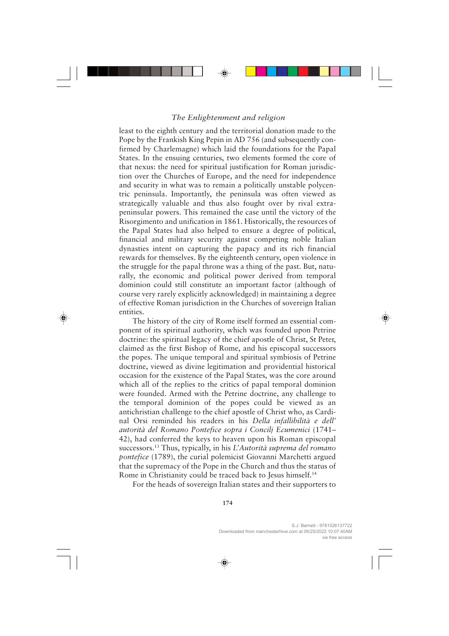least to the eighth century and the territorial donation made to the Pope by the Frankish King Pepin in AD 756 (and subsequently confirmed by Charlemagne) which laid the foundations for the Papal States. In the ensuing centuries, two elements formed the core of that nexus: the need for spiritual justification for Roman jurisdiction over the Churches of Europe, and the need for independence and security in what was to remain a politically unstable polycentric peninsula. Importantly, the peninsula was often viewed as strategically valuable and thus also fought over by rival extrapeninsular powers. This remained the case until the victory of the Risorgimento and unification in 1861. Historically, the resources of the Papal States had also helped to ensure a degree of political, financial and military security against competing noble Italian dynasties intent on capturing the papacy and its rich financial rewards for themselves. By the eighteenth century, open violence in the struggle for the papal throne was a thing of the past. But, naturally, the economic and political power derived from temporal dominion could still constitute an important factor (although of course very rarely explicitly acknowledged) in maintaining a degree of effective Roman jurisdiction in the Churches of sovereign Italian entities.

The history of the city of Rome itself formed an essential component of its spiritual authority, which was founded upon Petrine doctrine: the spiritual legacy of the chief apostle of Christ, St Peter, claimed as the first Bishop of Rome, and his episcopal successors the popes. The unique temporal and spiritual symbiosis of Petrine doctrine, viewed as divine legitimation and providential historical occasion for the existence of the Papal States, was the core around which all of the replies to the critics of papal temporal dominion were founded. Armed with the Petrine doctrine, any challenge to the temporal dominion of the popes could be viewed as an antichristian challenge to the chief apostle of Christ who, as Cardinal Orsi reminded his readers in his *Della infallibilità e dell' autorità del Romano Pontefice sopra i Concilj Ecumenici* (1741– 42), had conferred the keys to heaven upon his Roman episcopal successors.13 Thus, typically, in his *L'Autorità suprema del romano pontefice* (1789), the curial polemicist Giovanni Marchetti argued that the supremacy of the Pope in the Church and thus the status of Rome in Christianity could be traced back to Jesus himself.14

For the heads of sovereign Italian states and their supporters to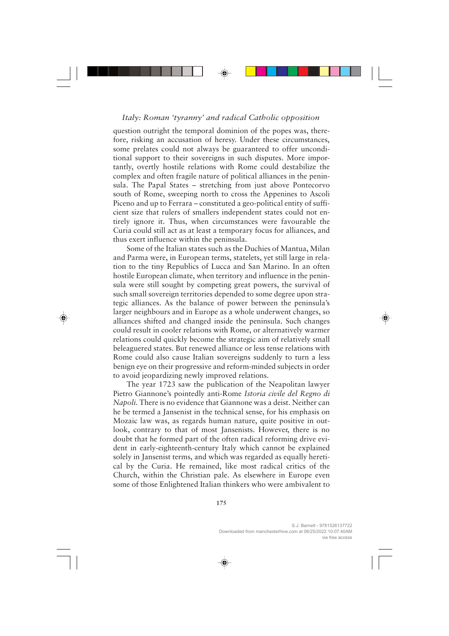question outright the temporal dominion of the popes was, therefore, risking an accusation of heresy. Under these circumstances, some prelates could not always be guaranteed to offer unconditional support to their sovereigns in such disputes. More importantly, overtly hostile relations with Rome could destabilize the complex and often fragile nature of political alliances in the peninsula. The Papal States – stretching from just above Pontecorvo south of Rome, sweeping north to cross the Appenines to Ascoli Piceno and up to Ferrara – constituted a geo-political entity of sufficient size that rulers of smallers independent states could not entirely ignore it. Thus, when circumstances were favourable the Curia could still act as at least a temporary focus for alliances, and thus exert influence within the peninsula.

Some of the Italian states such as the Duchies of Mantua, Milan and Parma were, in European terms, statelets, yet still large in relation to the tiny Republics of Lucca and San Marino. In an often hostile European climate, when territory and influence in the peninsula were still sought by competing great powers, the survival of such small sovereign territories depended to some degree upon strategic alliances. As the balance of power between the peninsula's larger neighbours and in Europe as a whole underwent changes, so alliances shifted and changed inside the peninsula. Such changes could result in cooler relations with Rome, or alternatively warmer relations could quickly become the strategic aim of relatively small beleaguered states. But renewed alliance or less tense relations with Rome could also cause Italian sovereigns suddenly to turn a less benign eye on their progressive and reform-minded subjects in order to avoid jeopardizing newly improved relations.

The year 1723 saw the publication of the Neapolitan lawyer Pietro Giannone's pointedly anti-Rome *Istoria civile del Regno di Napoli*. There is no evidence that Giannone was a deist. Neither can he be termed a Jansenist in the technical sense, for his emphasis on Mozaic law was, as regards human nature, quite positive in outlook, contrary to that of most Jansenists. However, there is no doubt that he formed part of the often radical reforming drive evident in early-eighteenth-century Italy which cannot be explained solely in Jansenist terms, and which was regarded as equally heretical by the Curia. He remained, like most radical critics of the Church, within the Christian pale. As elsewhere in Europe even some of those Enlightened Italian thinkers who were ambivalent to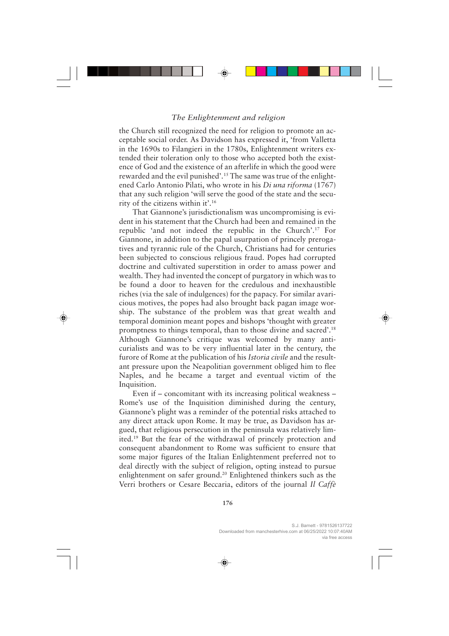the Church still recognized the need for religion to promote an acceptable social order. As Davidson has expressed it, 'from Valletta in the 1690s to Filangieri in the 1780s, Enlightenment writers extended their toleration only to those who accepted both the existence of God and the existence of an afterlife in which the good were rewarded and the evil punished'.15 The same was true of the enlightened Carlo Antonio Pilati, who wrote in his *Di una riforma* (1767) that any such religion 'will serve the good of the state and the security of the citizens within it'.16

That Giannone's jurisdictionalism was uncompromising is evident in his statement that the Church had been and remained in the republic 'and not indeed the republic in the Church'.17 For Giannone, in addition to the papal usurpation of princely prerogatives and tyrannic rule of the Church, Christians had for centuries been subjected to conscious religious fraud. Popes had corrupted doctrine and cultivated superstition in order to amass power and wealth. They had invented the concept of purgatory in which was to be found a door to heaven for the credulous and inexhaustible riches (via the sale of indulgences) for the papacy. For similar avaricious motives, the popes had also brought back pagan image worship. The substance of the problem was that great wealth and temporal dominion meant popes and bishops 'thought with greater promptness to things temporal, than to those divine and sacred'.18 Although Giannone's critique was welcomed by many anticurialists and was to be very influential later in the century, the furore of Rome at the publication of his *Istoria civile* and the resultant pressure upon the Neapolitian government obliged him to flee Naples, and he became a target and eventual victim of the Inquisition.

Even if – concomitant with its increasing political weakness – Rome's use of the Inquisition diminished during the century, Giannone's plight was a reminder of the potential risks attached to any direct attack upon Rome. It may be true, as Davidson has argued, that religious persecution in the peninsula was relatively limited.19 But the fear of the withdrawal of princely protection and consequent abandonment to Rome was sufficient to ensure that some major figures of the Italian Enlightenment preferred not to deal directly with the subject of religion, opting instead to pursue enlightenment on safer ground.<sup>20</sup> Enlightened thinkers such as the Verri brothers or Cesare Beccaria, editors of the journal *Il Caffè*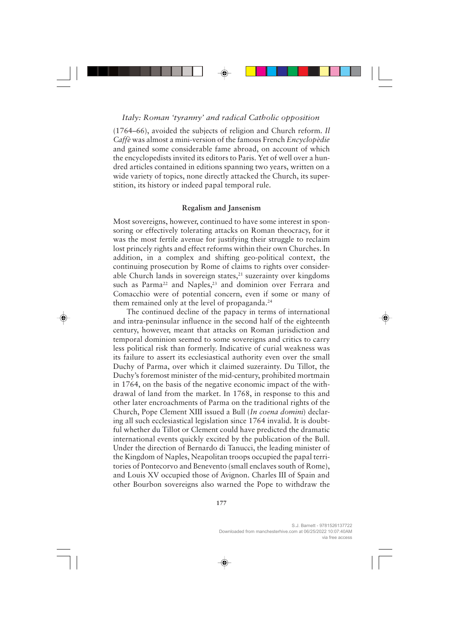(1764–66), avoided the subjects of religion and Church reform. *Il Caffè* was almost a mini-version of the famous French *Encyclopèdie* and gained some considerable fame abroad, on account of which the encyclopedists invited its editors to Paris. Yet of well over a hundred articles contained in editions spanning two years, written on a wide variety of topics, none directly attacked the Church, its superstition, its history or indeed papal temporal rule.

#### **Regalism and Jansenism**

Most sovereigns, however, continued to have some interest in sponsoring or effectively tolerating attacks on Roman theocracy, for it was the most fertile avenue for justifying their struggle to reclaim lost princely rights and effect reforms within their own Churches. In addition, in a complex and shifting geo-political context, the continuing prosecution by Rome of claims to rights over considerable Church lands in sovereign states, $21$  suzerainty over kingdoms such as Parma<sup>22</sup> and Naples,<sup>23</sup> and dominion over Ferrara and Comacchio were of potential concern, even if some or many of them remained only at the level of propaganda.<sup>24</sup>

The continued decline of the papacy in terms of international and intra-peninsular influence in the second half of the eighteenth century, however, meant that attacks on Roman jurisdiction and temporal dominion seemed to some sovereigns and critics to carry less political risk than formerly. Indicative of curial weakness was its failure to assert its ecclesiastical authority even over the small Duchy of Parma, over which it claimed suzerainty. Du Tillot, the Duchy's foremost minister of the mid-century, prohibited mortmain in 1764, on the basis of the negative economic impact of the withdrawal of land from the market. In 1768, in response to this and other later encroachments of Parma on the traditional rights of the Church, Pope Clement XIII issued a Bull (*In coena domini*) declaring all such ecclesiastical legislation since 1764 invalid. It is doubtful whether du Tillot or Clement could have predicted the dramatic international events quickly excited by the publication of the Bull. Under the direction of Bernardo di Tanucci, the leading minister of the Kingdom of Naples, Neapolitan troops occupied the papal territories of Pontecorvo and Benevento (small enclaves south of Rome), and Louis XV occupied those of Avignon. Charles III of Spain and other Bourbon sovereigns also warned the Pope to withdraw the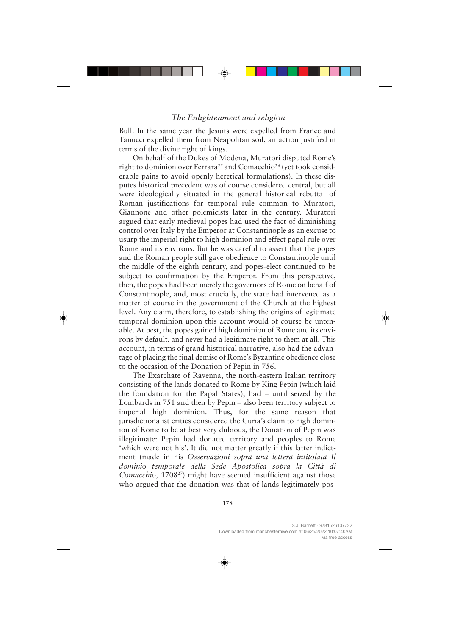Bull. In the same year the Jesuits were expelled from France and Tanucci expelled them from Neapolitan soil, an action justified in terms of the divine right of kings.

On behalf of the Dukes of Modena, Muratori disputed Rome's right to dominion over Ferrara<sup>25</sup> and Comacchio<sup>26</sup> (yet took considerable pains to avoid openly heretical formulations). In these disputes historical precedent was of course considered central, but all were ideologically situated in the general historical rebuttal of Roman justifications for temporal rule common to Muratori, Giannone and other polemicists later in the century. Muratori argued that early medieval popes had used the fact of diminishing control over Italy by the Emperor at Constantinople as an excuse to usurp the imperial right to high dominion and effect papal rule over Rome and its environs. But he was careful to assert that the popes and the Roman people still gave obedience to Constantinople until the middle of the eighth century, and popes-elect continued to be subject to confirmation by the Emperor. From this perspective, then, the popes had been merely the governors of Rome on behalf of Constantinople, and, most crucially, the state had intervened as a matter of course in the government of the Church at the highest level. Any claim, therefore, to establishing the origins of legitimate temporal dominion upon this account would of course be untenable. At best, the popes gained high dominion of Rome and its environs by default, and never had a legitimate right to them at all. This account, in terms of grand historical narrative, also had the advantage of placing the final demise of Rome's Byzantine obedience close to the occasion of the Donation of Pepin in 756.

The Exarchate of Ravenna, the north-eastern Italian territory consisting of the lands donated to Rome by King Pepin (which laid the foundation for the Papal States), had – until seized by the Lombards in 751 and then by Pepin – also been territory subject to imperial high dominion. Thus, for the same reason that jurisdictionalist critics considered the Curia's claim to high dominion of Rome to be at best very dubious, the Donation of Pepin was illegitimate: Pepin had donated territory and peoples to Rome 'which were not his'. It did not matter greatly if this latter indictment (made in his *Osservazioni sopra una lettera intitolata Il dominio temporale della Sede Apostolica sopra la Città di Comacchio,* 170827) might have seemed insufficient against those who argued that the donation was that of lands legitimately pos-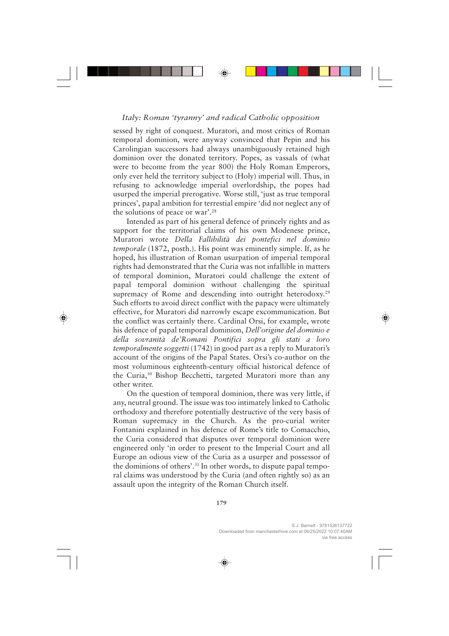sessed by right of conquest. Muratori, and most critics of Roman temporal dominion, were anyway convinced that Pepin and his Carolingian successors had always unambiguously retained high dominion over the donated territory. Popes, as vassals of (what were to become from the year 800) the Holy Roman Emperors, only ever held the territory subject to (Holy) imperial will. Thus, in refusing to acknowledge imperial overlordship, the popes had usurped the imperial prerogative. Worse still, 'just as true temporal princes', papal ambition for terrestial empire 'did not neglect any of the solutions of peace or war'.28

Intended as part of his general defence of princely rights and as support for the territorial claims of his own Modenese prince, Muratori wrote *Della Fallibilità dei pontefici nel dominio temporale* (1872, posth.). His point was eminently simple. If, as he hoped, his illustration of Roman usurpation of imperial temporal rights had demonstrated that the Curia was not infallible in matters of temporal dominion, Muratori could challenge the extent of papal temporal dominion without challenging the spiritual supremacy of Rome and descending into outright heterodoxy.<sup>29</sup> Such efforts to avoid direct conflict with the papacy were ultimately effective, for Muratori did narrowly escape excommunication. But the conflict was certainly there. Cardinal Orsi, for example, wrote his defence of papal temporal dominion, *Dell'origine del dominio e della sovranità de'Romani Pontifici sopra gli stati a loro temporalmente soggetti* (1742) in good part as a reply to Muratori's account of the origins of the Papal States. Orsi's co-author on the most voluminous eighteenth-century official historical defence of the Curia,<sup>30</sup> Bishop Becchetti, targeted Muratori more than any other writer.

On the question of temporal dominion, there was very little, if any, neutral ground. The issue was too intimately linked to Catholic orthodoxy and therefore potentially destructive of the very basis of Roman supremacy in the Church. As the pro-curial writer Fontanini explained in his defence of Rome's title to Comacchio, the Curia considered that disputes over temporal dominion were engineered only 'in order to present to the Imperial Court and all Europe an odious view of the Curia as a usurper and possessor of the dominions of others'.31 In other words, to dispute papal temporal claims was understood by the Curia (and often rightly so) as an assault upon the integrity of the Roman Church itself.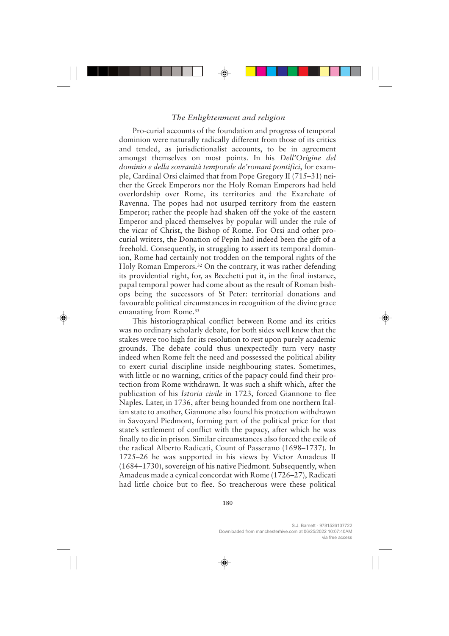Pro-curial accounts of the foundation and progress of temporal dominion were naturally radically different from those of its critics and tended, as jurisdictionalist accounts, to be in agreement amongst themselves on most points. In his *Dell'Origine del dominio e della sovranità temporale de'romani pontifici*, for example, Cardinal Orsi claimed that from Pope Gregory II (715–31) neither the Greek Emperors nor the Holy Roman Emperors had held overlordship over Rome, its territories and the Exarchate of Ravenna. The popes had not usurped territory from the eastern Emperor; rather the people had shaken off the yoke of the eastern Emperor and placed themselves by popular will under the rule of the vicar of Christ, the Bishop of Rome. For Orsi and other procurial writers, the Donation of Pepin had indeed been the gift of a freehold. Consequently, in struggling to assert its temporal dominion, Rome had certainly not trodden on the temporal rights of the Holy Roman Emperors.32 On the contrary, it was rather defending its providential right, for, as Becchetti put it, in the final instance, papal temporal power had come about as the result of Roman bishops being the successors of St Peter: territorial donations and favourable political circumstances in recognition of the divine grace emanating from Rome.<sup>33</sup>

This historiographical conflict between Rome and its critics was no ordinary scholarly debate, for both sides well knew that the stakes were too high for its resolution to rest upon purely academic grounds. The debate could thus unexpectedly turn very nasty indeed when Rome felt the need and possessed the political ability to exert curial discipline inside neighbouring states. Sometimes, with little or no warning, critics of the papacy could find their protection from Rome withdrawn. It was such a shift which, after the publication of his *Istoria civile* in 1723, forced Giannone to flee Naples. Later, in 1736, after being hounded from one northern Italian state to another, Giannone also found his protection withdrawn in Savoyard Piedmont, forming part of the political price for that state's settlement of conflict with the papacy, after which he was finally to die in prison. Similar circumstances also forced the exile of the radical Alberto Radicati, Count of Passerano (1698–1737). In 1725–26 he was supported in his views by Victor Amadeus II (1684–1730), sovereign of his native Piedmont. Subsequently, when Amadeus made a cynical concordat with Rome (1726–27), Radicati had little choice but to flee. So treacherous were these political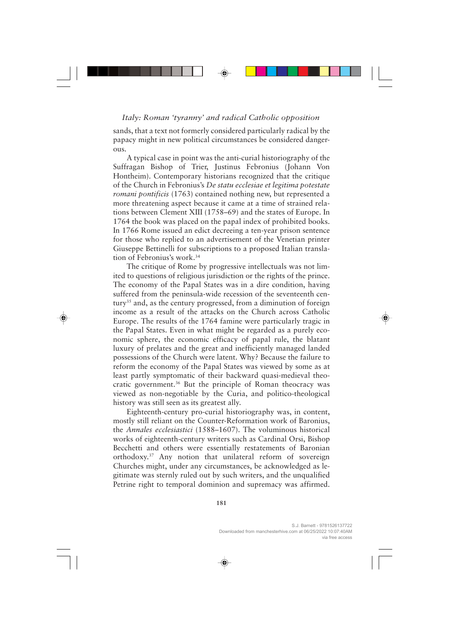sands, that a text not formerly considered particularly radical by the papacy might in new political circumstances be considered dangerous.

A typical case in point was the anti-curial historiography of the Suffragan Bishop of Trier, Justinus Febronius (Johann Von Hontheim). Contemporary historians recognized that the critique of the Church in Febronius's *De statu ecclesiae et legitima potestate romani pontificis* (1763) contained nothing new, but represented a more threatening aspect because it came at a time of strained relations between Clement XIII (1758–69) and the states of Europe. In 1764 the book was placed on the papal index of prohibited books. In 1766 Rome issued an edict decreeing a ten-year prison sentence for those who replied to an advertisement of the Venetian printer Giuseppe Bettinelli for subscriptions to a proposed Italian translation of Febronius's work.34

The critique of Rome by progressive intellectuals was not limited to questions of religious jurisdiction or the rights of the prince. The economy of the Papal States was in a dire condition, having suffered from the peninsula-wide recession of the seventeenth century35 and, as the century progressed, from a diminution of foreign income as a result of the attacks on the Church across Catholic Europe. The results of the 1764 famine were particularly tragic in the Papal States. Even in what might be regarded as a purely economic sphere, the economic efficacy of papal rule, the blatant luxury of prelates and the great and inefficiently managed landed possessions of the Church were latent. Why? Because the failure to reform the economy of the Papal States was viewed by some as at least partly symptomatic of their backward quasi-medieval theocratic government.36 But the principle of Roman theocracy was viewed as non-negotiable by the Curia, and politico-theological history was still seen as its greatest ally.

Eighteenth-century pro-curial historiography was, in content, mostly still reliant on the Counter-Reformation work of Baronius, the *Annales ecclesiastici* (1588–1607). The voluminous historical works of eighteenth-century writers such as Cardinal Orsi, Bishop Becchetti and others were essentially restatements of Baronian orthodoxy.37 Any notion that unilateral reform of sovereign Churches might, under any circumstances, be acknowledged as legitimate was sternly ruled out by such writers, and the unqualified Petrine right to temporal dominion and supremacy was affirmed.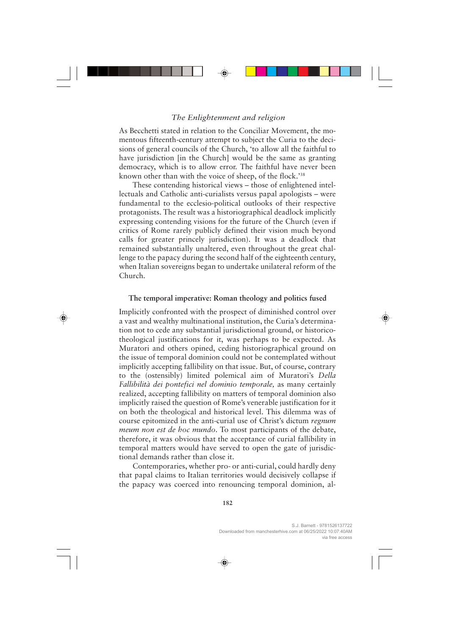As Becchetti stated in relation to the Conciliar Movement, the momentous fifteenth-century attempt to subject the Curia to the decisions of general councils of the Church, 'to allow all the faithful to have jurisdiction [in the Church] would be the same as granting democracy, which is to allow error. The faithful have never been known other than with the voice of sheep, of the flock.'38

These contending historical views – those of enlightened intellectuals and Catholic anti-curialists versus papal apologists – were fundamental to the ecclesio-political outlooks of their respective protagonists. The result was a historiographical deadlock implicitly expressing contending visions for the future of the Church (even if critics of Rome rarely publicly defined their vision much beyond calls for greater princely jurisdiction). It was a deadlock that remained substantially unaltered, even throughout the great challenge to the papacy during the second half of the eighteenth century, when Italian sovereigns began to undertake unilateral reform of the Church.

#### **The temporal imperative: Roman theology and politics fused**

Implicitly confronted with the prospect of diminished control over a vast and wealthy multinational institution, the Curia's determination not to cede any substantial jurisdictional ground, or historicotheological justifications for it, was perhaps to be expected. As Muratori and others opined, ceding historiographical ground on the issue of temporal dominion could not be contemplated without implicitly accepting fallibility on that issue. But, of course, contrary to the (ostensibly) limited polemical aim of Muratori's *Della Fallibilità dei pontefici nel dominio temporale,* as many certainly realized, accepting fallibility on matters of temporal dominion also implicitly raised the question of Rome's venerable justification for it on both the theological and historical level. This dilemma was of course epitomized in the anti-curial use of Christ's dictum *regnum meum non est de hoc mundo*. To most participants of the debate, therefore, it was obvious that the acceptance of curial fallibility in temporal matters would have served to open the gate of jurisdictional demands rather than close it.

Contemporaries, whether pro- or anti-curial, could hardly deny that papal claims to Italian territories would decisively collapse if the papacy was coerced into renouncing temporal dominion, al-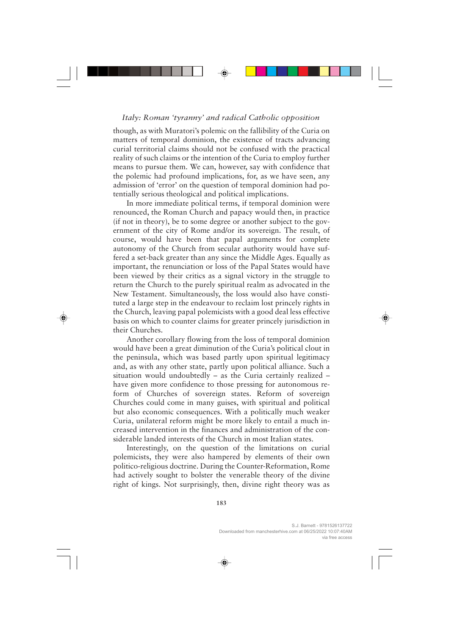though, as with Muratori's polemic on the fallibility of the Curia on matters of temporal dominion, the existence of tracts advancing curial territorial claims should not be confused with the practical reality of such claims or the intention of the Curia to employ further means to pursue them. We can, however, say with confidence that the polemic had profound implications, for, as we have seen, any admission of 'error' on the question of temporal dominion had potentially serious theological and political implications.

In more immediate political terms, if temporal dominion were renounced, the Roman Church and papacy would then, in practice (if not in theory), be to some degree or another subject to the government of the city of Rome and/or its sovereign. The result, of course, would have been that papal arguments for complete autonomy of the Church from secular authority would have suffered a set-back greater than any since the Middle Ages. Equally as important, the renunciation or loss of the Papal States would have been viewed by their critics as a signal victory in the struggle to return the Church to the purely spiritual realm as advocated in the New Testament. Simultaneously, the loss would also have constituted a large step in the endeavour to reclaim lost princely rights in the Church, leaving papal polemicists with a good deal less effective basis on which to counter claims for greater princely jurisdiction in their Churches.

Another corollary flowing from the loss of temporal dominion would have been a great diminution of the Curia's political clout in the peninsula, which was based partly upon spiritual legitimacy and, as with any other state, partly upon political alliance. Such a situation would undoubtedly – as the Curia certainly realized – have given more confidence to those pressing for autonomous reform of Churches of sovereign states. Reform of sovereign Churches could come in many guises, with spiritual and political but also economic consequences. With a politically much weaker Curia, unilateral reform might be more likely to entail a much increased intervention in the finances and administration of the considerable landed interests of the Church in most Italian states.

Interestingly, on the question of the limitations on curial polemicists, they were also hampered by elements of their own politico-religious doctrine. During the Counter-Reformation, Rome had actively sought to bolster the venerable theory of the divine right of kings. Not surprisingly, then, divine right theory was as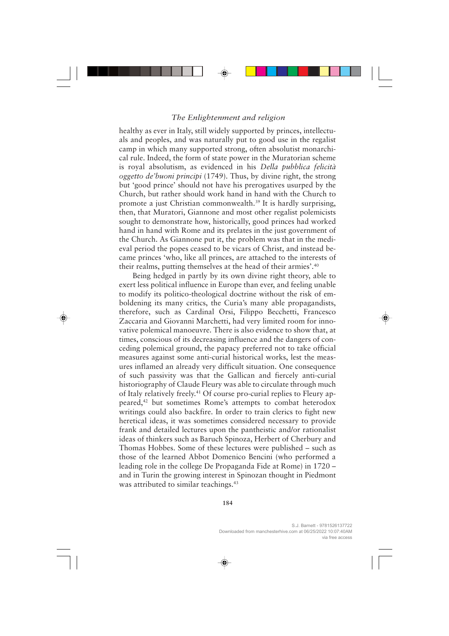healthy as ever in Italy, still widely supported by princes, intellectuals and peoples, and was naturally put to good use in the regalist camp in which many supported strong, often absolutist monarchical rule. Indeed, the form of state power in the Muratorian scheme is royal absolutism, as evidenced in his *Della pubblica felicità oggetto de'buoni principi* (1749). Thus, by divine right, the strong but 'good prince' should not have his prerogatives usurped by the Church, but rather should work hand in hand with the Church to promote a just Christian commonwealth.<sup>39</sup> It is hardly surprising, then, that Muratori, Giannone and most other regalist polemicists sought to demonstrate how, historically, good princes had worked hand in hand with Rome and its prelates in the just government of the Church. As Giannone put it, the problem was that in the medieval period the popes ceased to be vicars of Christ, and instead became princes 'who, like all princes, are attached to the interests of their realms, putting themselves at the head of their armies'.40

Being hedged in partly by its own divine right theory, able to exert less political influence in Europe than ever, and feeling unable to modify its politico-theological doctrine without the risk of emboldening its many critics, the Curia's many able propagandists, therefore, such as Cardinal Orsi, Filippo Becchetti, Francesco Zaccaria and Giovanni Marchetti, had very limited room for innovative polemical manoeuvre. There is also evidence to show that, at times, conscious of its decreasing influence and the dangers of conceding polemical ground, the papacy preferred not to take official measures against some anti-curial historical works, lest the measures inflamed an already very difficult situation. One consequence of such passivity was that the Gallican and fiercely anti-curial historiography of Claude Fleury was able to circulate through much of Italy relatively freely.41 Of course pro-curial replies to Fleury appeared,42 but sometimes Rome's attempts to combat heterodox writings could also backfire. In order to train clerics to fight new heretical ideas, it was sometimes considered necessary to provide frank and detailed lectures upon the pantheistic and/or rationalist ideas of thinkers such as Baruch Spinoza, Herbert of Cherbury and Thomas Hobbes. Some of these lectures were published – such as those of the learned Abbot Domenico Bencini (who performed a leading role in the college De Propaganda Fide at Rome) in 1720 – and in Turin the growing interest in Spinozan thought in Piedmont was attributed to similar teachings.<sup>43</sup>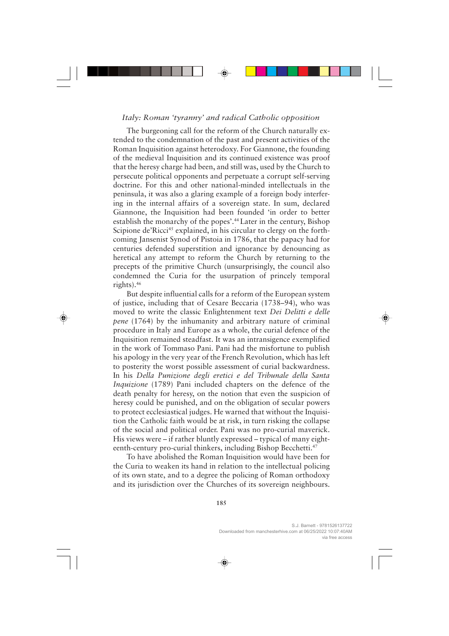The burgeoning call for the reform of the Church naturally extended to the condemnation of the past and present activities of the Roman Inquisition against heterodoxy. For Giannone, the founding of the medieval Inquisition and its continued existence was proof that the heresy charge had been, and still was, used by the Church to persecute political opponents and perpetuate a corrupt self-serving doctrine. For this and other national-minded intellectuals in the peninsula, it was also a glaring example of a foreign body interfering in the internal affairs of a sovereign state. In sum, declared Giannone, the Inquisition had been founded 'in order to better establish the monarchy of the popes'.44 Later in the century, Bishop Scipione de'Ricci<sup>45</sup> explained, in his circular to clergy on the forthcoming Jansenist Synod of Pistoia in 1786, that the papacy had for centuries defended superstition and ignorance by denouncing as heretical any attempt to reform the Church by returning to the precepts of the primitive Church (unsurprisingly, the council also condemned the Curia for the usurpation of princely temporal rights).46

But despite influential calls for a reform of the European system of justice, including that of Cesare Beccaria (1738–94), who was moved to write the classic Enlightenment text *Dei Delitti e delle pene* (1764) by the inhumanity and arbitrary nature of criminal procedure in Italy and Europe as a whole, the curial defence of the Inquisition remained steadfast. It was an intransigence exemplified in the work of Tommaso Pani. Pani had the misfortune to publish his apology in the very year of the French Revolution, which has left to posterity the worst possible assessment of curial backwardness. In his *Della Punizione degli eretici e del Tribunale della Santa Inquizione* (1789) Pani included chapters on the defence of the death penalty for heresy, on the notion that even the suspicion of heresy could be punished, and on the obligation of secular powers to protect ecclesiastical judges. He warned that without the Inquisition the Catholic faith would be at risk, in turn risking the collapse of the social and political order. Pani was no pro-curial maverick. His views were – if rather bluntly expressed – typical of many eighteenth-century pro-curial thinkers, including Bishop Becchetti.<sup>47</sup>

To have abolished the Roman Inquisition would have been for the Curia to weaken its hand in relation to the intellectual policing of its own state, and to a degree the policing of Roman orthodoxy and its jurisdiction over the Churches of its sovereign neighbours.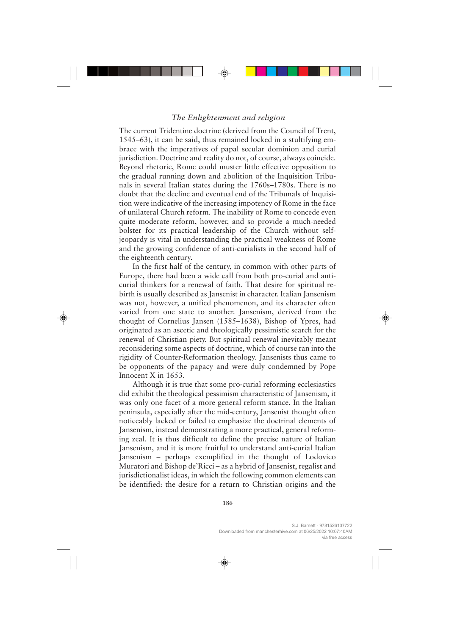The current Tridentine doctrine (derived from the Council of Trent, 1545–63), it can be said, thus remained locked in a stultifying embrace with the imperatives of papal secular dominion and curial jurisdiction. Doctrine and reality do not, of course, always coincide. Beyond rhetoric, Rome could muster little effective opposition to the gradual running down and abolition of the Inquisition Tribunals in several Italian states during the 1760s–1780s. There is no doubt that the decline and eventual end of the Tribunals of Inquisition were indicative of the increasing impotency of Rome in the face of unilateral Church reform. The inability of Rome to concede even quite moderate reform, however, and so provide a much-needed bolster for its practical leadership of the Church without selfjeopardy is vital in understanding the practical weakness of Rome and the growing confidence of anti-curialists in the second half of the eighteenth century.

In the first half of the century, in common with other parts of Europe, there had been a wide call from both pro-curial and anticurial thinkers for a renewal of faith. That desire for spiritual rebirth is usually described as Jansenist in character. Italian Jansenism was not, however, a unified phenomenon, and its character often varied from one state to another. Jansenism, derived from the thought of Cornelius Jansen (1585–1638), Bishop of Ypres, had originated as an ascetic and theologically pessimistic search for the renewal of Christian piety. But spiritual renewal inevitably meant reconsidering some aspects of doctrine, which of course ran into the rigidity of Counter-Reformation theology. Jansenists thus came to be opponents of the papacy and were duly condemned by Pope Innocent X in 1653.

Although it is true that some pro-curial reforming ecclesiastics did exhibit the theological pessimism characteristic of Jansenism, it was only one facet of a more general reform stance. In the Italian peninsula, especially after the mid-century, Jansenist thought often noticeably lacked or failed to emphasize the doctrinal elements of Jansenism, instead demonstrating a more practical, general reforming zeal. It is thus difficult to define the precise nature of Italian Jansenism, and it is more fruitful to understand anti-curial Italian Jansenism – perhaps exemplified in the thought of Lodovico Muratori and Bishop de'Ricci – as a hybrid of Jansenist, regalist and jurisdictionalist ideas, in which the following common elements can be identified: the desire for a return to Christian origins and the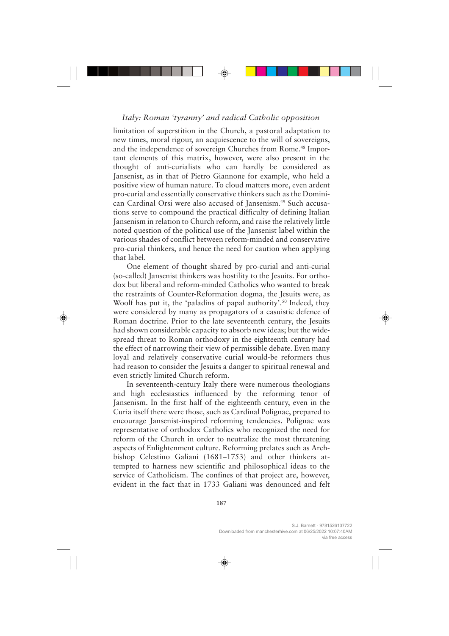limitation of superstition in the Church, a pastoral adaptation to new times, moral rigour, an acquiescence to the will of sovereigns, and the independence of sovereign Churches from Rome.48 Important elements of this matrix, however, were also present in the thought of anti-curialists who can hardly be considered as Jansenist, as in that of Pietro Giannone for example, who held a positive view of human nature. To cloud matters more, even ardent pro-curial and essentially conservative thinkers such as the Dominican Cardinal Orsi were also accused of Jansenism.49 Such accusations serve to compound the practical difficulty of defining Italian Jansenism in relation to Church reform, and raise the relatively little noted question of the political use of the Jansenist label within the various shades of conflict between reform-minded and conservative pro-curial thinkers, and hence the need for caution when applying that label.

One element of thought shared by pro-curial and anti-curial (so-called) Jansenist thinkers was hostility to the Jesuits. For orthodox but liberal and reform-minded Catholics who wanted to break the restraints of Counter-Reformation dogma, the Jesuits were, as Woolf has put it, the 'paladins of papal authority'.<sup>50</sup> Indeed, they were considered by many as propagators of a casuistic defence of Roman doctrine. Prior to the late seventeenth century, the Jesuits had shown considerable capacity to absorb new ideas; but the widespread threat to Roman orthodoxy in the eighteenth century had the effect of narrowing their view of permissible debate. Even many loyal and relatively conservative curial would-be reformers thus had reason to consider the Jesuits a danger to spiritual renewal and even strictly limited Church reform.

In seventeenth-century Italy there were numerous theologians and high ecclesiastics influenced by the reforming tenor of Jansenism. In the first half of the eighteenth century, even in the Curia itself there were those, such as Cardinal Polignac, prepared to encourage Jansenist-inspired reforming tendencies. Polignac was representative of orthodox Catholics who recognized the need for reform of the Church in order to neutralize the most threatening aspects of Enlightenment culture. Reforming prelates such as Archbishop Celestino Galiani (1681–1753) and other thinkers attempted to harness new scientific and philosophical ideas to the service of Catholicism. The confines of that project are, however, evident in the fact that in 1733 Galiani was denounced and felt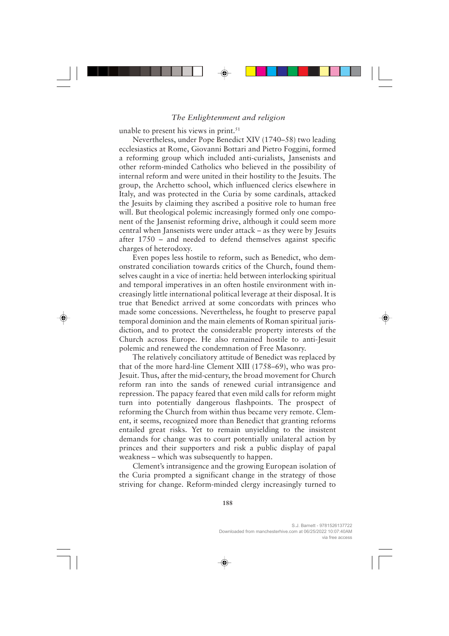unable to present his views in print.<sup>51</sup>

Nevertheless, under Pope Benedict XIV (1740–58) two leading ecclesiastics at Rome, Giovanni Bottari and Pietro Foggini, formed a reforming group which included anti-curialists, Jansenists and other reform-minded Catholics who believed in the possibility of internal reform and were united in their hostility to the Jesuits. The group, the Archetto school, which influenced clerics elsewhere in Italy, and was protected in the Curia by some cardinals, attacked the Jesuits by claiming they ascribed a positive role to human free will. But theological polemic increasingly formed only one component of the Jansenist reforming drive, although it could seem more central when Jansenists were under attack – as they were by Jesuits after 1750 – and needed to defend themselves against specific charges of heterodoxy.

Even popes less hostile to reform, such as Benedict, who demonstrated conciliation towards critics of the Church, found themselves caught in a vice of inertia: held between interlocking spiritual and temporal imperatives in an often hostile environment with increasingly little international political leverage at their disposal. It is true that Benedict arrived at some concordats with princes who made some concessions. Nevertheless, he fought to preserve papal temporal dominion and the main elements of Roman spiritual jurisdiction, and to protect the considerable property interests of the Church across Europe. He also remained hostile to anti-Jesuit polemic and renewed the condemnation of Free Masonry.

The relatively conciliatory attitude of Benedict was replaced by that of the more hard-line Clement XIII (1758–69), who was pro-Jesuit. Thus, after the mid-century, the broad movement for Church reform ran into the sands of renewed curial intransigence and repression. The papacy feared that even mild calls for reform might turn into potentially dangerous flashpoints. The prospect of reforming the Church from within thus became very remote. Clement, it seems, recognized more than Benedict that granting reforms entailed great risks. Yet to remain unyielding to the insistent demands for change was to court potentially unilateral action by princes and their supporters and risk a public display of papal weakness – which was subsequently to happen.

Clement's intransigence and the growing European isolation of the Curia prompted a significant change in the strategy of those striving for change. Reform-minded clergy increasingly turned to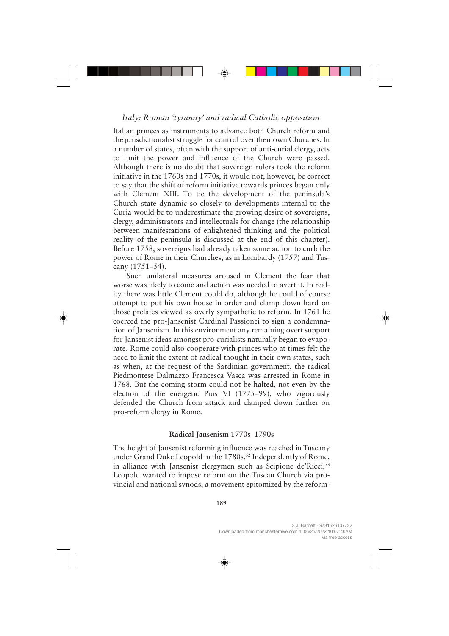Italian princes as instruments to advance both Church reform and the jurisdictionalist struggle for control over their own Churches. In a number of states, often with the support of anti-curial clergy, acts to limit the power and influence of the Church were passed. Although there is no doubt that sovereign rulers took the reform initiative in the 1760s and 1770s, it would not, however, be correct to say that the shift of reform initiative towards princes began only with Clement XIII. To tie the development of the peninsula's Church–state dynamic so closely to developments internal to the Curia would be to underestimate the growing desire of sovereigns, clergy, administrators and intellectuals for change (the relationship between manifestations of enlightened thinking and the political reality of the peninsula is discussed at the end of this chapter). Before 1758, sovereigns had already taken some action to curb the power of Rome in their Churches, as in Lombardy (1757) and Tuscany (1751–54).

Such unilateral measures aroused in Clement the fear that worse was likely to come and action was needed to avert it. In reality there was little Clement could do, although he could of course attempt to put his own house in order and clamp down hard on those prelates viewed as overly sympathetic to reform. In 1761 he coerced the pro-Jansenist Cardinal Passionei to sign a condemnation of Jansenism. In this environment any remaining overt support for Jansenist ideas amongst pro-curialists naturally began to evaporate. Rome could also cooperate with princes who at times felt the need to limit the extent of radical thought in their own states, such as when, at the request of the Sardinian government, the radical Piedmontese Dalmazzo Francesca Vasca was arrested in Rome in 1768. But the coming storm could not be halted, not even by the election of the energetic Pius VI (1775–99), who vigorously defended the Church from attack and clamped down further on pro-reform clergy in Rome.

#### **Radical Jansenism 1770s–1790s**

The height of Jansenist reforming influence was reached in Tuscany under Grand Duke Leopold in the 1780s.<sup>52</sup> Independently of Rome, in alliance with Jansenist clergymen such as Scipione de'Ricci,<sup>53</sup> Leopold wanted to impose reform on the Tuscan Church via provincial and national synods, a movement epitomized by the reform-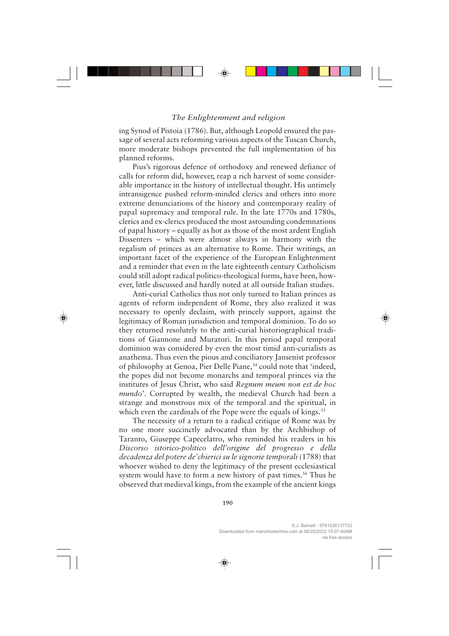ing Synod of Pistoia (1786). But, although Leopold ensured the passage of several acts reforming various aspects of the Tuscan Church, more moderate bishops prevented the full implementation of his planned reforms.

Pius's rigorous defence of orthodoxy and renewed defiance of calls for reform did, however, reap a rich harvest of some considerable importance in the history of intellectual thought. His untimely intransigence pushed reform-minded clerics and others into more extreme denunciations of the history and contemporary reality of papal supremacy and temporal rule. In the late 1770s and 1780s, clerics and ex-clerics produced the most astounding condemnations of papal history – equally as hot as those of the most ardent English Dissenters – which were almost always in harmony with the regalism of princes as an alternative to Rome. Their writings, an important facet of the experience of the European Enlightenment and a reminder that even in the late eighteenth century Catholicism could still adopt radical politico-theological forms, have been, however, little discussed and hardly noted at all outside Italian studies.

Anti-curial Catholics thus not only turned to Italian princes as agents of reform independent of Rome, they also realized it was necessary to openly declaim, with princely support, against the legitimacy of Roman jurisdiction and temporal dominion. To do so they returned resolutely to the anti-curial historiographical traditions of Giannone and Muratori. In this period papal temporal dominion was considered by even the most timid anti-curialists as anathema. Thus even the pious and conciliatory Jansenist professor of philosophy at Genoa, Pier Delle Piane,<sup>54</sup> could note that 'indeed, the popes did not become monarchs and temporal princes via the institutes of Jesus Christ, who said *Regnum meum non est de hoc mundo*'. Corrupted by wealth, the medieval Church had been a strange and monstrous mix of the temporal and the spiritual, in which even the cardinals of the Pope were the equals of kings.<sup>55</sup>

The necessity of a return to a radical critique of Rome was by no one more succinctly advocated than by the Archbishop of Taranto, Giuseppe Capecelatro, who reminded his readers in his *Discorso istorico-politico dell'origine del progresso e della decadenza del potere de'chierici su le signorie temporali* (1788) that whoever wished to deny the legitimacy of the present ecclesiastical system would have to form a new history of past times.<sup>56</sup> Thus he observed that medieval kings, from the example of the ancient kings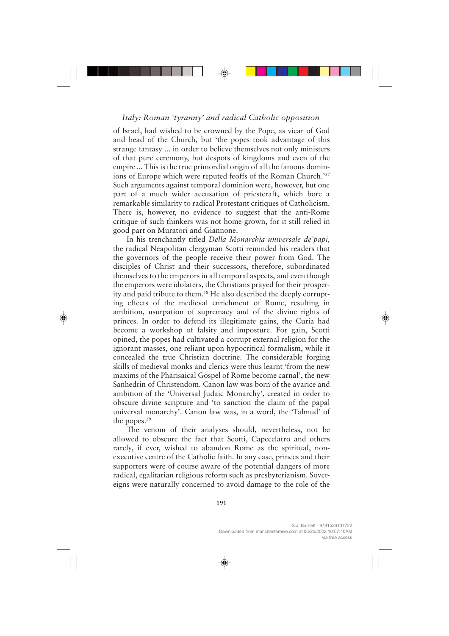of Israel, had wished to be crowned by the Pope, as vicar of God and head of the Church, but 'the popes took advantage of this strange fantasy ... in order to believe themselves not only ministers of that pure ceremony, but despots of kingdoms and even of the empire ... This is the true primordial origin of all the famous dominions of Europe which were reputed feoffs of the Roman Church.'57 Such arguments against temporal dominion were, however, but one part of a much wider accusation of priestcraft, which bore a remarkable similarity to radical Protestant critiques of Catholicism. There is, however, no evidence to suggest that the anti-Rome critique of such thinkers was not home-grown, for it still relied in good part on Muratori and Giannone.

In his trenchantly titled *Della Monarchia universale de'papi,* the radical Neapolitan clergyman Scotti reminded his readers that the governors of the people receive their power from God. The disciples of Christ and their successors, therefore, subordinated themselves to the emperors in all temporal aspects, and even though the emperors were idolaters, the Christians prayed for their prosperity and paid tribute to them.58 He also described the deeply corrupting effects of the medieval enrichment of Rome, resulting in ambition, usurpation of supremacy and of the divine rights of princes. In order to defend its illegitimate gains, the Curia had become a workshop of falsity and imposture. For gain, Scotti opined, the popes had cultivated a corrupt external religion for the ignorant masses, one reliant upon hypocritical formalism, while it concealed the true Christian doctrine. The considerable forging skills of medieval monks and clerics were thus learnt 'from the new maxims of the Pharisaical Gospel of Rome become carnal', the new Sanhedrin of Christendom. Canon law was born of the avarice and ambition of the 'Universal Judaic Monarchy', created in order to obscure divine scripture and 'to sanction the claim of the papal universal monarchy'. Canon law was, in a word, the 'Talmud*'* of the popes.<sup>59</sup>

The venom of their analyses should, nevertheless, not be allowed to obscure the fact that Scotti, Capecelatro and others rarely, if ever, wished to abandon Rome as the spiritual, nonexecutive centre of the Catholic faith. In any case, princes and their supporters were of course aware of the potential dangers of more radical, egalitarian religious reform such as presbyterianism. Sovereigns were naturally concerned to avoid damage to the role of the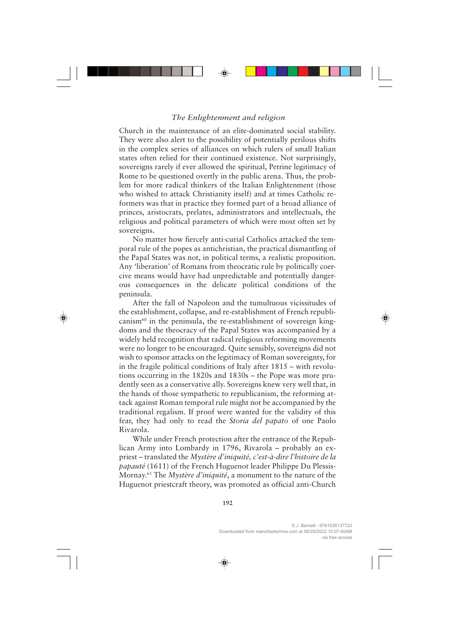Church in the maintenance of an elite-dominated social stability. They were also alert to the possibility of potentially perilous shifts in the complex series of alliances on which rulers of small Italian states often relied for their continued existence. Not surprisingly, sovereigns rarely if ever allowed the spiritual, Petrine legitimacy of Rome to be questioned overtly in the public arena. Thus, the problem for more radical thinkers of the Italian Enlightenment (those who wished to attack Christianity itself) and at times Catholic reformers was that in practice they formed part of a broad alliance of princes, aristocrats, prelates, administrators and intellectuals, the religious and political parameters of which were most often set by sovereigns.

No matter how fiercely anti-curial Catholics attacked the temporal rule of the popes as antichristian, the practical dismantling of the Papal States was not, in political terms, a realistic proposition. Any 'liberation' of Romans from theocratic rule by politically coercive means would have had unpredictable and potentially dangerous consequences in the delicate political conditions of the peninsula.

After the fall of Napoleon and the tumultuous vicissitudes of the establishment, collapse, and re-establishment of French republi $c$ anism $60$  in the peninsula, the re-establishment of sovereign kingdoms and the theocracy of the Papal States was accompanied by a widely held recognition that radical religious reforming movements were no longer to be encouraged. Quite sensibly, sovereigns did not wish to sponsor attacks on the legitimacy of Roman sovereignty, for in the fragile political conditions of Italy after 1815 – with revolutions occurring in the 1820s and 1830s – the Pope was more prudently seen as a conservative ally. Sovereigns knew very well that, in the hands of those sympathetic to republicanism, the reforming attack against Roman temporal rule might not be accompanied by the traditional regalism. If proof were wanted for the validity of this fear, they had only to read the *Storia del papato* of one Paolo Rivarola.

While under French protection after the entrance of the Republican Army into Lombardy in 1796, Rivarola – probably an expriest – translated the *Mystère d'iniquité, c'est-à-dire l'histoire de la papauté* (1611) of the French Huguenot leader Philippe Du Plessis-Mornay.61 The *Mystère d'iniquité*, a monument to the nature of the Huguenot priestcraft theory, was promoted as official anti-Church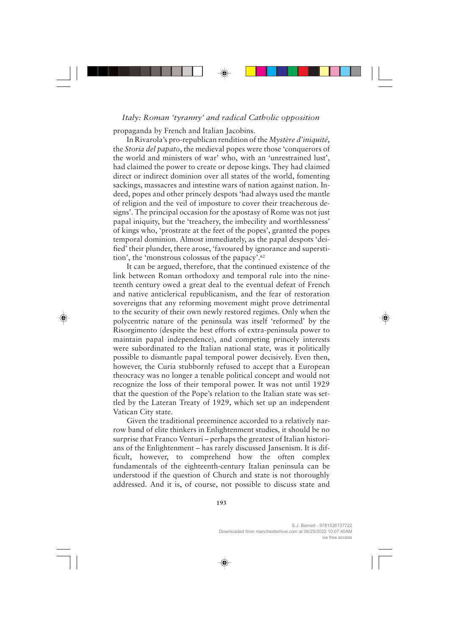propaganda by French and Italian Jacobins.

In Rivarola's pro-republican rendition of the *Mystère d'iniquité*, the *Storia del papato*, the medieval popes were those 'conquerors of the world and ministers of war' who, with an 'unrestrained lust', had claimed the power to create or depose kings. They had claimed direct or indirect dominion over all states of the world, fomenting sackings, massacres and intestine wars of nation against nation. Indeed, popes and other princely despots 'had always used the mantle of religion and the veil of imposture to cover their treacherous designs'. The principal occasion for the apostasy of Rome was not just papal iniquity, but the 'treachery, the imbecility and worthlessness' of kings who, 'prostrate at the feet of the popes', granted the popes temporal dominion. Almost immediately, as the papal despots 'deified' their plunder, there arose, 'favoured by ignorance and superstition', the 'monstrous colossus of the papacy'.62

It can be argued, therefore, that the continued existence of the link between Roman orthodoxy and temporal rule into the nineteenth century owed a great deal to the eventual defeat of French and native anticlerical republicanism, and the fear of restoration sovereigns that any reforming movement might prove detrimental to the security of their own newly restored regimes. Only when the polycentric nature of the peninsula was itself 'reformed' by the Risorgimento (despite the best efforts of extra-peninsula power to maintain papal independence), and competing princely interests were subordinated to the Italian national state, was it politically possible to dismantle papal temporal power decisively. Even then, however, the Curia stubbornly refused to accept that a European theocracy was no longer a tenable political concept and would not recognize the loss of their temporal power. It was not until 1929 that the question of the Pope's relation to the Italian state was settled by the Lateran Treaty of 1929, which set up an independent Vatican City state.

Given the traditional preeminence accorded to a relatively narrow band of elite thinkers in Enlightenment studies*,* it should be no surprise that Franco Venturi – perhaps the greatest of Italian historians of the Enlightenment – has rarely discussed Jansenism. It is difficult, however, to comprehend how the often complex fundamentals of the eighteenth-century Italian peninsula can be understood if the question of Church and state is not thoroughly addressed. And it is, of course, not possible to discuss state and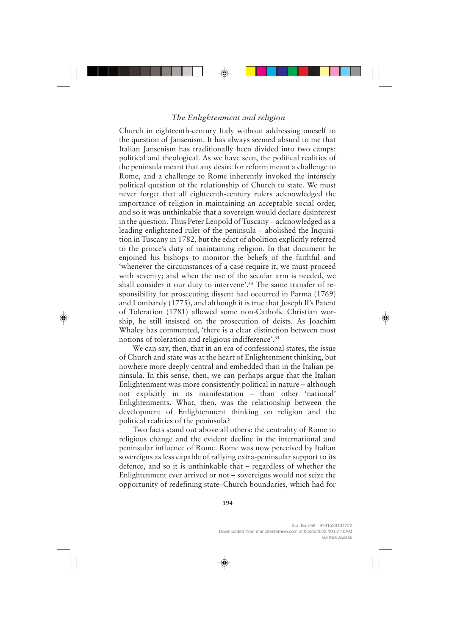Church in eighteenth-century Italy without addressing oneself to the question of Jansenism. It has always seemed absurd to me that Italian Jansenism has traditionally been divided into two camps: political and theological. As we have seen, the political realities of the peninsula meant that any desire for reform meant a challenge to Rome, and a challenge to Rome inherently invoked the intensely political question of the relationship of Church to state. We must never forget that all eighteenth-century rulers acknowledged the importance of religion in maintaining an acceptable social order, and so it was unthinkable that a sovereign would declare disinterest in the question. Thus Peter Leopold of Tuscany – acknowledged as a leading enlightened ruler of the peninsula – abolished the Inquisition in Tuscany in 1782, but the edict of abolition explicitly referred to the prince's duty of maintaining religion. In that document he enjoined his bishops to monitor the beliefs of the faithful and 'whenever the circumstances of a case require it, we must proceed with severity; and when the use of the secular arm is needed, we shall consider it our duty to intervene'.<sup>63</sup> The same transfer of responsibility for prosecuting dissent had occurred in Parma (1769) and Lombardy (1775), and although it is true that Joseph II's Patent of Toleration (1781) allowed some non-Catholic Christian worship, he still insisted on the prosecution of deists. As Joachim Whaley has commented, 'there is a clear distinction between most notions of toleration and religious indifference'.64

We can say, then, that in an era of confessional states, the issue of Church and state was at the heart of Enlightenment thinking, but nowhere more deeply central and embedded than in the Italian peninsula. In this sense, then, we can perhaps argue that the Italian Enlightenment was more consistently political in nature – although not explicitly in its manifestation – than other 'national' Enlightenments. What, then, was the relationship between the development of Enlightenment thinking on religion and the political realities of the peninsula?

Two facts stand out above all others: the centrality of Rome to religious change and the evident decline in the international and peninsular influence of Rome. Rome was now perceived by Italian sovereigns as less capable of rallying extra-peninsular support to its defence, and so it is unthinkable that – regardless of whether the Enlightenment ever arrived or not – sovereigns would not seize the opportunity of redefining state–Church boundaries, which had for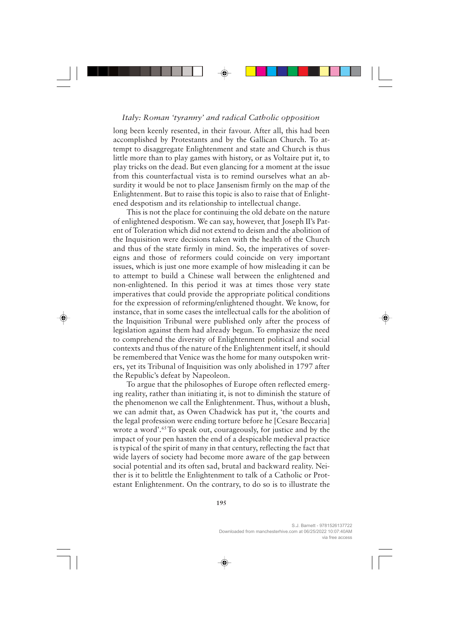long been keenly resented, in their favour. After all, this had been accomplished by Protestants and by the Gallican Church. To attempt to disaggregate Enlightenment and state and Church is thus little more than to play games with history, or as Voltaire put it, to play tricks on the dead. But even glancing for a moment at the issue from this counterfactual vista is to remind ourselves what an absurdity it would be not to place Jansenism firmly on the map of the Enlightenment. But to raise this topic is also to raise that of Enlightened despotism and its relationship to intellectual change.

This is not the place for continuing the old debate on the nature of enlightened despotism. We can say, however, that Joseph II's Patent of Toleration which did not extend to deism and the abolition of the Inquisition were decisions taken with the health of the Church and thus of the state firmly in mind. So, the imperatives of sovereigns and those of reformers could coincide on very important issues, which is just one more example of how misleading it can be to attempt to build a Chinese wall between the enlightened and non-enlightened. In this period it was at times those very state imperatives that could provide the appropriate political conditions for the expression of reforming/enlightened thought. We know, for instance, that in some cases the intellectual calls for the abolition of the Inquisition Tribunal were published only after the process of legislation against them had already begun. To emphasize the need to comprehend the diversity of Enlightenment political and social contexts and thus of the nature of the Enlightenment itself, it should be remembered that Venice was the home for many outspoken writers, yet its Tribunal of Inquisition was only abolished in 1797 after the Republic's defeat by Napeoleon.

To argue that the philosophes of Europe often reflected emerging reality, rather than initiating it, is not to diminish the stature of the phenomenon we call the Enlightenment. Thus, without a blush, we can admit that, as Owen Chadwick has put it, 'the courts and the legal profession were ending torture before he [Cesare Beccaria] wrote a word'.<sup>65</sup>To speak out, courageously, for justice and by the impact of your pen hasten the end of a despicable medieval practice is typical of the spirit of many in that century, reflecting the fact that wide layers of society had become more aware of the gap between social potential and its often sad, brutal and backward reality. Neither is it to belittle the Enlightenment to talk of a Catholic or Protestant Enlightenment. On the contrary, to do so is to illustrate the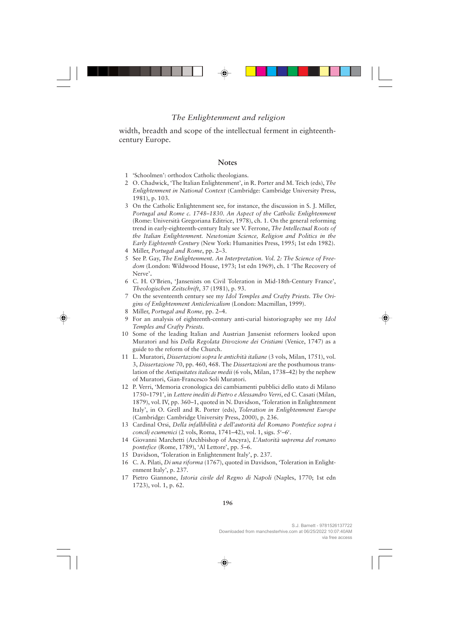width, breadth and scope of the intellectual ferment in eighteenthcentury Europe.

## **Notes**

- 1 'Schoolmen': orthodox Catholic theologians.
- 2 O. Chadwick, 'The Italian Enlightenment', in R. Porter and M. Teich (eds), *The Enlightenment in National Context* (Cambridge: Cambridge University Press, 1981), p. 103.
- 3 On the Catholic Enlightenment see, for instance, the discussion in S. J. Miller, *Portugal and Rome c. 1748–1830. An Aspect of the Catholic Enlightenment* (Rome: Università Gregoriana Editrice, 1978), ch. 1. On the general reforming trend in early-eighteenth-century Italy see V. Ferrone, *The Intellectual Roots of the Italian Enlightenment. Newtonian Science, Religion and Politics in the Early Eighteenth Century* (New York: Humanities Press, 1995; 1st edn 1982).
- 4 Miller, *Portugal and Rome*, pp. 2–3.
- 5 See P. Gay, *The Enlightenment. An Interpretation. Vol. 2: The Science of Freedom* (London: Wildwood House, 1973; 1st edn 1969), ch. 1 'The Recovery of Nerve'**.**
- 6 C. H. O'Brien, 'Jansenists on Civil Toleration in Mid-18th-Century France', *Theologischen Zeitschrift*, 37 (1981), p. 93.
- 7 On the seventeenth century see my *Idol Temples and Crafty Priests. The Origins of Enlightenment Anticlericalism* (London: Macmillan, 1999)*.*
- 8 Miller, *Portugal and Rome,* pp. 2–4.
- 9 For an analysis of eighteenth-century anti-curial historiography see my *Idol Temples and Crafty Priests.*
- 10 Some of the leading Italian and Austrian Jansenist reformers looked upon Muratori and his *Della Regolata Divozione dei Cristiani* (Venice, 1747) as a guide to the reform of the Church.
- 11 L. Muratori, *Dissertazioni sopra le antichità italiane* (3 vols, Milan, 1751), vol. 3, *Dissertazione* 70, pp. 460, 468. The *Dissertazioni* are the posthumous translation of the *Antiquitates italicae medii* (6 vols, Milan, 1738–42) by the nephew of Muratori, Gian-Francesco Soli Muratori.
- 12 P. Verri, 'Memoria cronologica dei cambiamenti pubblici dello stato di Milano 1750–1791', in *Lettere inediti di Pietro e Alessandro Verri*, ed C. Casati (Milan, 1879), vol. IV, pp. 360–1, quoted in N. Davidson, 'Toleration in Enlightenment Italy', in O. Grell and R. Porter (eds), *Toleration in Enlightenment Europe* (Cambridge: Cambridge University Press, 2000), p. 236.
- 13 Cardinal Orsi, *Della infallibilità e dell'autorità del Romano Pontefice sopra i concilj ecumenici* (2 vols, Roma, 1741–42), vol. 1, sigs. 5<sup>v</sup>–6<sup>r</sup>.
- 14 Giovanni Marchetti (Archbishop of Ancyra), *L'Autorità* s*uprema del romano pontefice* (Rome, 1789), 'Al Lettore', pp. 5–6.
- 15 Davidson, 'Toleration in Enlightenment Italy', p. 237.
- 16 C. A. Pilati, *Di una riforma* (1767), quoted in Davidson, 'Toleration in Enlightenment Italy', p. 237.
- 17 Pietro Giannone, *Istoria civile del Regno di Napoli* (Naples, 1770; 1st edn 1723), vol. 1, p. 62.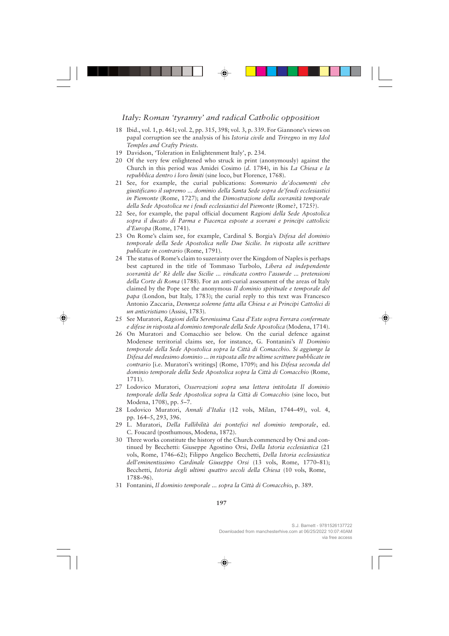- 18 Ibid., vol. 1, p. 461; vol. 2, pp. 315, 398; vol. 3, p. 339. For Giannone's views on papal corruption see the analysis of his *Istoria civile* and *Triregno* in my *Idol Temples and Crafty Priests.*
- 19 Davidson, 'Toleration in Enlightenment Italy', p. 234.
- 20 Of the very few enlightened who struck in print (anonymously) against the Church in this period was Amidei Cosimo (*d.* 1784), in his *La Chiesa e la repubblica dentro i loro limiti* (sine loco, but Florence, 1768).
- 21 See, for example, the curial publications: *Sommario de'documenti che giustificano il supremo ... dominio della Santa Sede sopra de'feudi ecclesiastici in Piemonte* (Rome, 1727); and the *Dimostrazione della sovranità temporale della Sede Apostolica ne i feudi ecclesiastici del Piemonte* (Rome?, 1725?).
- 22 See, for example, the papal official document *Ragioni della Sede Apostolica sopra il ducato di Parma e Piacenza esposte a sovrani e principi cattolicic d'Europa* (Rome, 1741).
- 23 On Rome's claim see, for example, Cardinal S. Borgia's *Difesa del dominio temporale della Sede Apostolica nelle Due Sicilie. In risposta alle scritture publicate in contrario* (Rome, 1791).
- 24 The status of Rome's claim to suzerainty over the Kingdom of Naples is perhaps best captured in the title of Tommaso Turbolo, *Libera ed independente sovranità de' Rè delle due Sicilie ... vindicata contro l'assurde ... pretensioni della Corte di Roma* (1788). For an anti-curial assessment of the areas of Italy claimed by the Pope see the anonymous *Il dominio spirituale e temporale del papa* (London, but Italy, 1783); the curial reply to this text was Francesco Antonio Zaccaria, *Denunza solenne fatta alla Chiesa e ai Principi Cattolici di un anticristiano* (Assisi, 1783)*.*
- 25 See Muratori, *Ragioni della Serenissima Casa d'Este sopra Ferrara confermate e difese in risposta al dominio temporale della Sede Apostolica* (Modena, 1714).
- 26 On Muratori and Comacchio see below. On the curial defence against Modenese territorial claims see, for instance, G. Fontanini's *Il Dominio temporale della Sede Apostolica sopra la Città di Comacchio. Si aggiunge la Difesa del medesimo dominio ... in risposta alle tre ultime scritture pubblicate in contrario* [i.e. Muratori's writings] (Rome, 1709); and his *Difesa seconda del dominio temporale della Sede Apostolica sopra la Città di Comacchio* (Rome, 1711).
- 27 Lodovico Muratori, *Osservazioni sopra una lettera intitolata Il dominio temporale della Sede Apostolica sopra la Città di Comacchio* (sine loco, but Modena, 1708), pp. 5–7.
- 28 Lodovico Muratori, *Annali d'Italia* (12 vols, Milan, 1744–49), vol. 4, pp. 164–5, 293, 396.
- 29 L. Muratori, *Della Fallibilità dei pontefici nel dominio temporale*, ed. C. Foucard (posthumous, Modena, 1872).
- 30 Three works constitute the history of the Church commenced by Orsi and continued by Becchetti: Giuseppe Agostino Orsi, *Della Istoria ecclesiastica* (21 vols, Rome, 1746–62); Filippo Angelico Becchetti, *Della Istoria ecclesiastica dell'eminentissimo Cardinale Giuseppe Orsi* (13 vols, Rome, 1770–81); Becchetti, *Istoria degli ultimi quattro secoli della Chiesa* (10 vols, Rome, 1788–96).
- 31 Fontanini, *Il dominio temporale ... sopra la Città di Comacchio*, p. 389.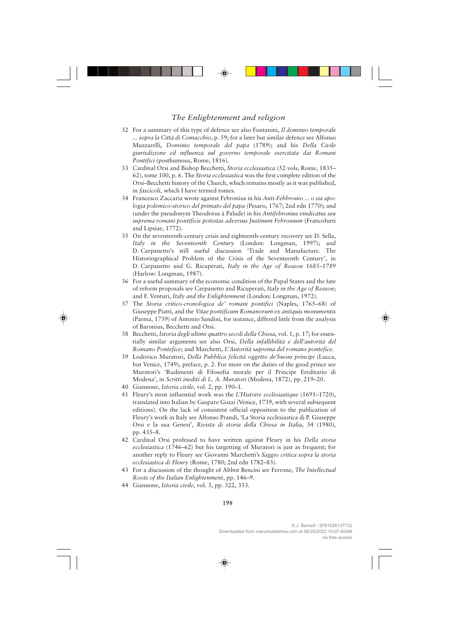- 32 For a summary of this type of defence see also Fontanini, *Il dominio temporale ... sopra la Città di Comacchio*, p. 59; for a later but similar defence see Alfonso Muzzarelli, *Dominio temporale del papa* (1789); and his *Della Civile giurisdizione ed influenza sul governo temporale esercitata dai Romani Pontifici* (posthumous, Rome, 1816).
- 33 Cardinal Orsi and Bishop Becchetti, *Storia ecclesiastica* (52 vols, Rome, 1835– 62), tome 100, p. 6. The *Storia ecclesiastica* was the first complete edition of the Orsi–Becchetti history of the Church, which remains mostly as it was published, in *fascicoli,* which I have termed tomes.
- 34 Francesco Zaccaria wrote against Febronius in his *Anti-Febbronio* ... *o sia apologia polemico-storico del primato del papa* (Pesaro, 1767; 2nd edn 1770); and (under the pseudonym Theodorus à Palude) in his *Antifebronius vindicatus seu suprema romani pontificis potestas adversus Justinum Febronium* (Francofurti and Lipsiae, 1772).
- 35 On the seventeenth-century crisis and eighteenth-century recovery see D. Sella, *Italy in the Seventeenth Century* (London: Longman, 1997); and D. Carpanetto's still useful discussion 'Trade and Manufacture. The Historiographical Problem of the Crisis of the Seventeenth Century', in D. Carpanetto and G. Ricuperati, *Italy in the Age of Reason 1685–1789* (Harlow: Longman, 1987).
- 36 For a useful summary of the economic condition of the Papal States and the fate of reform proposals see Carpanetto and Ricuperati, *Italy in the Age of Reason*; and F. Venturi, *Italy and the Enlightenment* (London: Longman, 1972).
- 37 The *Storia critico-cronologica de' romani pontifici* (Naples, 1765–68) of Giuseppe Piatti, and the *Vitae pontificum Romanorum ex antiquis monumentis* (Parma, 1739) of Antonio Sandini, for instance, differed little from the analysis of Baronius, Becchetti and Orsi.
- 38 Becchetti, *Istoria degli ultimi quattro secoli della Chiesa*, vol. 1, p. 17; for essentially similar arguments see also Orsi, *Della infallibilità e dell'autorità del Romano Pontefice*; and Marchetti, *L'Autorità* s*uprema del romano pontefice.*
- 39 Lodovico Muratori, *Della Pubblica felicità oggetto de'buoni principi* (Lucca, but Venice, 1749), preface, p. 2. For more on the duties of the good prince see Muratori's 'Rudimenti di Filosofia morale per il Principe Ereditario di Modena', in *Scritti inediti di L. A. Muratori* (Modena, 1872), pp. 219–20.
- 40 Giannone, *Istoria civile*, vol. 2, pp. 190–1.
- 41 Fleury's most influential work was the *L'Histoire ecclèsiastique* (1691–1720), translated into Italian by Gaspare Gozzi (Venice, 1739, with several subsequent editions). On the lack of consistent official opposition to the publication of Fleury's work in Italy see Alfonso Prandi, 'La Storia ecclesiastica di P. Giuseppe Orsi e la sua Genesi', *Rivista di storia della Chiesa in Italia*, 34 (1980), pp. 435–8.
- 42 Cardinal Orsi professed to have written against Fleury in his *Della storia ecclesiastica* (1746–62) but his targetting of Muratori is just as frequent; for another reply to Fleury see Giovanni Marchetti's *Saggio critica sopra la storia ecclesiastica di Fleury* (Rome, 1780; 2nd edn 1782–83).
- 43 For a discussion of the thought of Abbot Bencini see Ferrone, *The Intellectual Roots of the Italian Enlightenment*, pp. 146–9.
- 44 Giannone, *Istoria civile*, vol. 3, pp. 322, 333.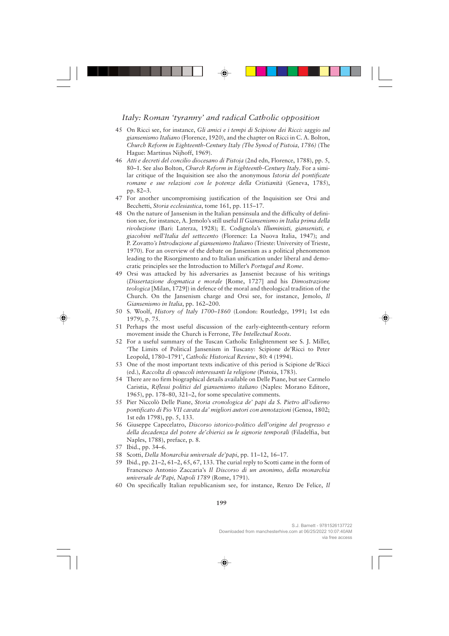- 45 On Ricci see, for instance, *Gli amici e i tempi di Scipione dei Ricci: saggio sul giansenismo Italiano* (Florence, 1920), and the chapter on Ricci in C. A. Bolton, *Church Reform in Eighteenth-Century Italy (The Synod of Pistoia, 1786)* (The Hague: Martinus Nijhoff, 1969).
- 46 *Atti e decreti del concilio diocesano di Pistoja* (2nd edn, Florence, 1788), pp. 5, 80–1. See also Bolton, *Church Reform in Eighteenth-Century Italy*. For a similar critique of the Inquisition see also the anonymous *Istoria del pontificate romane e sue relazioni con le potenze della Cristianità* (Geneva, 1785), pp. 82–3.
- 47 For another uncompromising justification of the Inquisition see Orsi and Becchetti, *Storia ecclesiastica*, tome 161, pp. 115–17.
- 48 On the nature of Jansenism in the Italian pensinsula and the difficulty of definition see, for instance, A. Jemolo's still useful *Il Giansenismo in Italia prima della rivoluzione* (Bari: Laterza, 1928); E. Codignola's *Illuministi, giansenisti, e giacobini nell'Italia del settecento* (Florence: La Nuova Italia, 1947); and P. Zovatto*'s Introduzione al giansenismo Italiano* (Trieste: University of Trieste, 1970). For an overview of the debate on Jansenism as a political phenomenon leading to the Risorgimento and to Italian unification under liberal and democratic principles see the Introduction to Miller's *Portugal and Rome*.
- 49 Orsi was attacked by his adversaries as Jansenist because of his writings (*Dissertazione dogmatica e morale* [Rome, 1727] and his *Dimostrazione teologica* [Milan, 1729]) in defence of the moral and theological tradition of the Church. On the Jansenism charge and Orsi see, for instance, Jemolo, *Il Giansenismo in Italia*, pp. 162–200.
- 50 S. Woolf, *History of Italy 1700–1860* (London: Routledge, 1991; 1st edn 1979), p. 75.
- 51 Perhaps the most useful discussion of the early-eighteenth-century reform movement inside the Church is Ferrone, *The Intellectual Roots*.
- 52 For a useful summary of the Tuscan Catholic Enlightenment see S. J. Miller, 'The Limits of Political Jansenism in Tuscany: Scipione de'Ricci to Peter Leopold, 1780–1791', *Catholic Historical Review*, 80: 4 (1994).
- 53 One of the most important texts indicative of this period is Scipione de'Ricci (ed.), *Raccolta di opuscoli interessanti la religione* (Pistoia, 1783).
- 54 There are no firm biographical details available on Delle Piane, but see Carmelo Caristia, *Riflessi politici del giansenismo italiano* (Naples: Morano Editore, 1965), pp. 178–80, 321–2, for some speculative comments.
- 55 Pier Niccolò Delle Piane, *Storia cronologica de' papi da S. Pietro all'odierno pontificato di Pio VII cavata da' migliori autori con annotazioni* (Genoa, 1802; 1st edn 1798), pp. 5, 133.
- 56 Giuseppe Capecelatro, *Discorso istorico-politico dell'origine del progresso e della decadenza del potere de'chierici su le signorie temporali* (Filadelfia, but Naples, 1788), preface, p. 8.
- 57 Ibid., pp. 34–6.
- 58 Scotti, *Della Monarchia universale de'papi*, pp. 11–12, 16–17.
- 59 Ibid., pp. 21–2, 61–2, 65, 67, 133. The curial reply to Scotti came in the form of Francesco Antonio Zaccaria's *Il Discorso di un anonimo, della monarchia universale de'Papi, Napoli 1789* (Rome, 1791).
- 60 On specifically Italian republicanism see, for instance, Renzo De Felice, *Il*